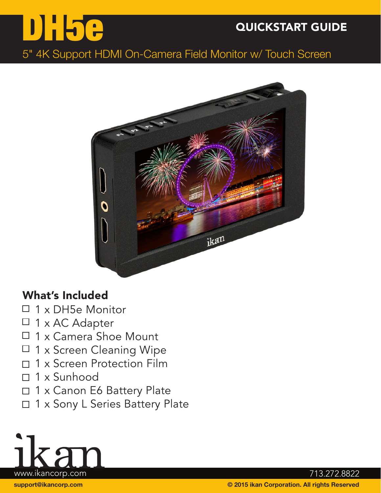## QUICKSTART GUIDE

## 5" 4K Support HDMI On-Camera Field Monitor w/ Touch Screen



#### What's Included

DH5e

- $\Box$  1 x DH5e Monitor
- $\Box$  1 x AC Adapter
- 1 x Camera Shoe Mount  $\Box$
- 1 x Screen Cleaning Wipe  $\Box$
- 1 x Screen Protection Film  $\Box$
- $\Box$  1 x Sunhood
- □ 1 x Canon E6 Battery Plate
- □ 1 x Sony L Series Battery Plate

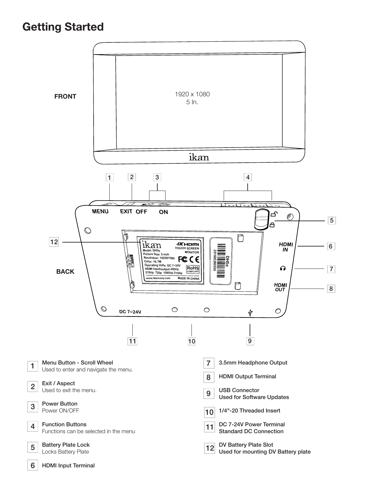#### Getting Started

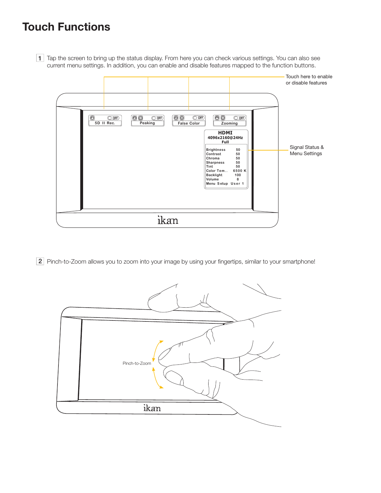### Touch Functions



1 Tap the screen to bring up the status display. From here you can check various settings. You can also see current menu settings. In addition, you can enable and disable features mapped to the function buttons.



2 Pinch-to-Zoom allows you to zoom into your image by using your fingertips, similar to your smartphone!

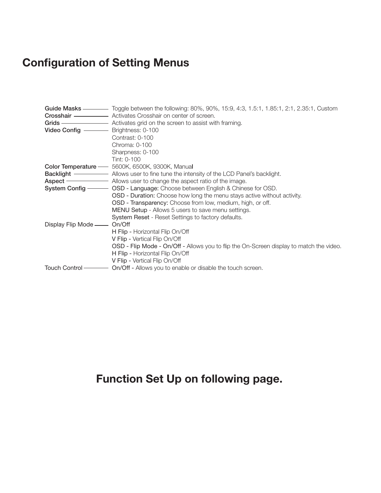# Configuration of Setting Menus

|                     | Guide Masks ———— Toggle between the following: 80%, 90%, 15:9, 4:3, 1.5:1, 1.85:1, 2:1, 2.35:1, Custom<br><b>Crosshair — — — Activates Crosshair on center of screen.</b> |
|---------------------|---------------------------------------------------------------------------------------------------------------------------------------------------------------------------|
|                     | Grids - Activates grid on the screen to assist with framing.                                                                                                              |
|                     |                                                                                                                                                                           |
|                     | Contrast: 0-100                                                                                                                                                           |
|                     | Chroma: 0-100                                                                                                                                                             |
|                     | Sharpness: 0-100                                                                                                                                                          |
|                     | Tint: 0-100                                                                                                                                                               |
|                     | Color Temperature - 5600K, 6500K, 9300K, Manual                                                                                                                           |
|                     |                                                                                                                                                                           |
|                     | <b>Aspect</b> - Allows user to change the aspect ratio of the image.                                                                                                      |
|                     | <b>System Config</b> ———— OSD - Language: Choose between English & Chinese for OSD.                                                                                       |
|                     | OSD - Duration: Choose how long the menu stays active without activity.                                                                                                   |
|                     | OSD - Transparency: Choose from low, medium, high, or off.                                                                                                                |
|                     | MENU Setup - Allows 5 users to save menu settings.                                                                                                                        |
|                     | System Reset - Reset Settings to factory defaults.                                                                                                                        |
| Display Flip Mode — | On/Off                                                                                                                                                                    |
|                     | H Flip - Horizontal Flip On/Off                                                                                                                                           |
|                     | V Flip - Vertical Flip On/Off                                                                                                                                             |
|                     | OSD - Flip Mode - On/Off - Allows you to flip the On-Screen display to match the video.                                                                                   |
|                     | H Flip - Horizontal Flip On/Off                                                                                                                                           |
|                     | V Flip - Vertical Flip On/Off                                                                                                                                             |
| Touch Control-      | On/Off - Allows you to enable or disable the touch screen.                                                                                                                |

### Function Set Up on following page.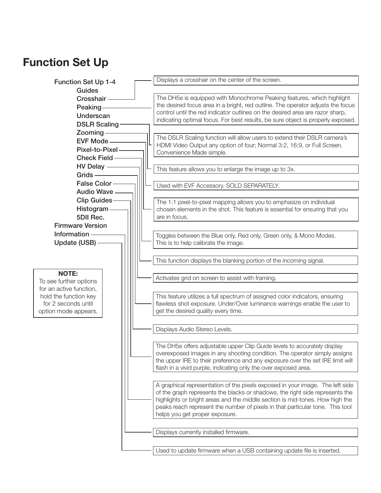#### Function Set Up

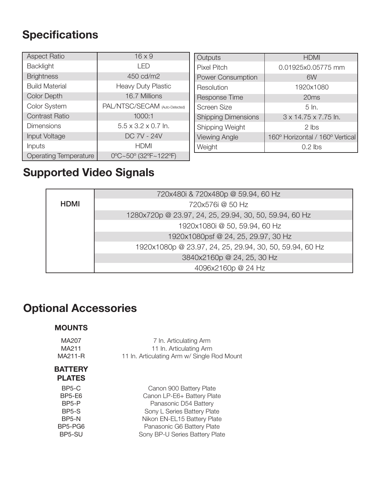## **Specifications**

| <b>Aspect Ratio</b>          | $16 \times 9$                   |
|------------------------------|---------------------------------|
| <b>Backlight</b>             | רו-ו ו                          |
| <b>Brightness</b>            | 450 cd/m2                       |
| <b>Build Material</b>        | <b>Heavy Duty Plastic</b>       |
| <b>Color Depth</b>           | 16.7 Millions                   |
| <b>Color System</b>          | PAL/NTSC/SECAM (Auto-Detected)  |
| <b>Contrast Ratio</b>        | 1000:1                          |
| <b>Dimensions</b>            | $5.5 \times 3.2 \times 0.7$ ln. |
| Input Voltage                | DC 7V - 24V                     |
| Inputs                       | <b>HDMI</b>                     |
| <b>Operating Temperature</b> | 0°C~50° (32°F~122°F)            |

| Outputs                    | <b>HDMI</b>                     |
|----------------------------|---------------------------------|
| <b>Pixel Pitch</b>         | 0.01925x0.05775 mm              |
| <b>Power Consumption</b>   | 6W                              |
| Resolution                 | 1920x1080                       |
| <b>Response Time</b>       | 20ms                            |
| <b>Screen Size</b>         | $5 \ln$                         |
| <b>Shipping Dimensions</b> | 3 x 14.75 x 7.75 ln.            |
| Shipping Weight            | $2$ lbs                         |
| <b>Viewing Angle</b>       | 160° Horizontal / 160° Vertical |
| Weight                     | $0.2$ lbs                       |

## Supported Video Signals

|             | 720x480i & 720x480p @ 59.94, 60 Hz                      |
|-------------|---------------------------------------------------------|
| <b>HDMI</b> | 720x576i @ 50 Hz                                        |
|             | 1280x720p @ 23.97, 24, 25, 29.94, 30, 50, 59.94, 60 Hz  |
|             | 1920x1080i @ 50, 59.94, 60 Hz                           |
|             | 1920x1080psf @ 24, 25, 29.97, 30 Hz                     |
|             | 1920x1080p @ 23.97, 24, 25, 29.94, 30, 50, 59.94, 60 Hz |
|             | 3840x2160p @ 24, 25, 30 Hz                              |
|             | 4096x2160p @ 24 Hz                                      |

## Optional Accessories

#### MOUNTS

| MA207<br>MA211<br>MA211-R       | 7 In. Articulating Arm<br>11 In. Articulating Arm<br>11 In. Articulating Arm w/ Single Rod Mount |
|---------------------------------|--------------------------------------------------------------------------------------------------|
| <b>BATTERY</b><br><b>PLATES</b> |                                                                                                  |
| BP5-C                           | Canon 900 Battery Plate                                                                          |
| BP5-E6                          | Canon LP-E6+ Battery Plate                                                                       |
| BP5-P                           | Panasonic D54 Battery                                                                            |
| BP5-S                           | Sony L Series Battery Plate                                                                      |
| BP5-N                           | Nikon EN-EL15 Battery Plate                                                                      |
| BP5-PG6                         | Panasonic G6 Battery Plate                                                                       |
| BP5-SU                          | Sony BP-U Series Battery Plate                                                                   |
|                                 |                                                                                                  |